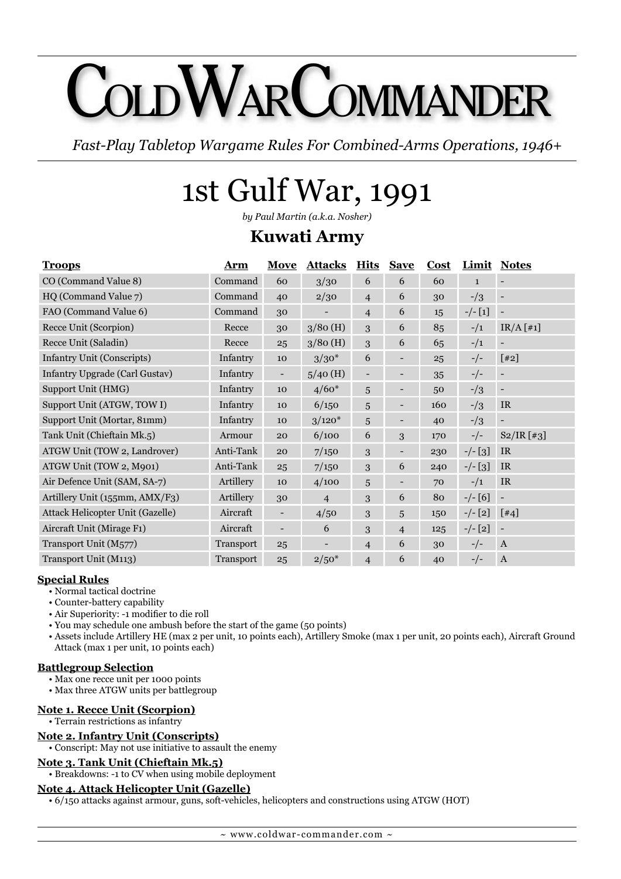# OLDWARCOMMANDEI

*Fast-Play Tabletop Wargame Rules For Combined-Arms Operations, 1946+*

# 1st Gulf War, 1991

*by Paul Martin (a.k.a. Nosher)*

### **Kuwati Army**

| <b>Troops</b>                     | <b>Arm</b> | <b>Move</b> | <b>Attacks</b> | <b>Hits</b>    | <b>Save</b>    | <b>Cost</b> | Limit        | <b>Notes</b>     |
|-----------------------------------|------------|-------------|----------------|----------------|----------------|-------------|--------------|------------------|
| CO (Command Value 8)              | Command    | 60          | 3/30           | 6              | 6              | 60          | $\mathbf{1}$ |                  |
| HQ (Command Value 7)              | Command    | 40          | 2/30           | $\overline{4}$ | 6              | 30          | $-1/3$       |                  |
| FAO (Command Value 6)             | Command    | 30          |                | $\overline{4}$ | 6              | 15          | $-/- [1]$    |                  |
| Recce Unit (Scorpion)             | Recce      | 30          | $3/80$ (H)     | 3              | 6              | 85          | $-1/1$       | $IR/A [H_1]$     |
| Recce Unit (Saladin)              | Recce      | 25          | $3/80$ (H)     | 3              | 6              | 65          | $-1/1$       |                  |
| <b>Infantry Unit (Conscripts)</b> | Infantry   | 10          | $3/30*$        | 6              |                | 25          | $-/-$        | $[42]$           |
| Infantry Upgrade (Carl Gustav)    | Infantry   |             | $5/40$ (H)     |                |                | 35          | $-/-$        |                  |
| Support Unit (HMG)                | Infantry   | 10          | $4/60*$        | 5              |                | 50          | $-1/3$       |                  |
| Support Unit (ATGW, TOW I)        | Infantry   | 10          | 6/150          | 5              |                | 160         | $-1/3$       | IR.              |
| Support Unit (Mortar, 81mm)       | Infantry   | 10          | $3/120*$       | 5              |                | 40          | $-1/3$       |                  |
| Tank Unit (Chieftain Mk.5)        | Armour     | 20          | 6/100          | 6              | 3              | 170         | $-/-$        | S2/IR [43]       |
| ATGW Unit (TOW 2, Landrover)      | Anti-Tank  | 20          | 7/150          | 3              |                | 230         | $-/-$ [3]    | IR.              |
| ATGW Unit (TOW 2, M901)           | Anti-Tank  | 25          | 7/150          | 3              | 6              | 240         | $-/-$ [3]    | IR.              |
| Air Defence Unit (SAM, SA-7)      | Artillery  | 10          | 4/100          | 5              |                | 70          | $-1/1$       | IR.              |
| Artillery Unit (155mm, AMX/F3)    | Artillery  | 30          | $\overline{4}$ | 3              | 6              | 80          | $-/- [6]$    |                  |
| Attack Helicopter Unit (Gazelle)  | Aircraft   |             | 4/50           | 3              | 5              | 150         | $-/- [2]$    | $[44]$           |
| Aircraft Unit (Mirage F1)         | Aircraft   |             | 6              | 3              | $\overline{4}$ | 125         | $-/- [2]$    |                  |
| Transport Unit (M577)             | Transport  | 25          |                | $\overline{4}$ | 6              | 30          | $-/-$        | $\mathbf{A}$     |
| Transport Unit (M113)             | Transport  | 25          | $2/50*$        | $\overline{4}$ | 6              | 40          | $-/-$        | $\boldsymbol{A}$ |

#### **Special Rules**

- Normal tactical doctrine
- Counter-battery capability
- Air Superiority: -1 modifier to die roll
- You may schedule one ambush before the start of the game (50 points)
- Assets include Artillery HE (max 2 per unit, 10 points each), Artillery Smoke (max 1 per unit, 20 points each), Aircraft Ground Attack (max 1 per unit, 10 points each)

#### **Battlegroup Selection**

- Max one recce unit per 1000 points
- Max three ATGW units per battlegroup

#### **Note 1. Recce Unit (Scorpion)**

• Terrain restrictions as infantry

#### **Note 2. Infantry Unit (Conscripts)**

• Conscript: May not use initiative to assault the enemy

#### **Note 3. Tank Unit (Chieftain Mk.5)**

• Breakdowns: -1 to CV when using mobile deployment

#### **Note 4. Attack Helicopter Unit (Gazelle)**

• 6/150 attacks against armour, guns, soft-vehicles, helicopters and constructions using ATGW (HOT)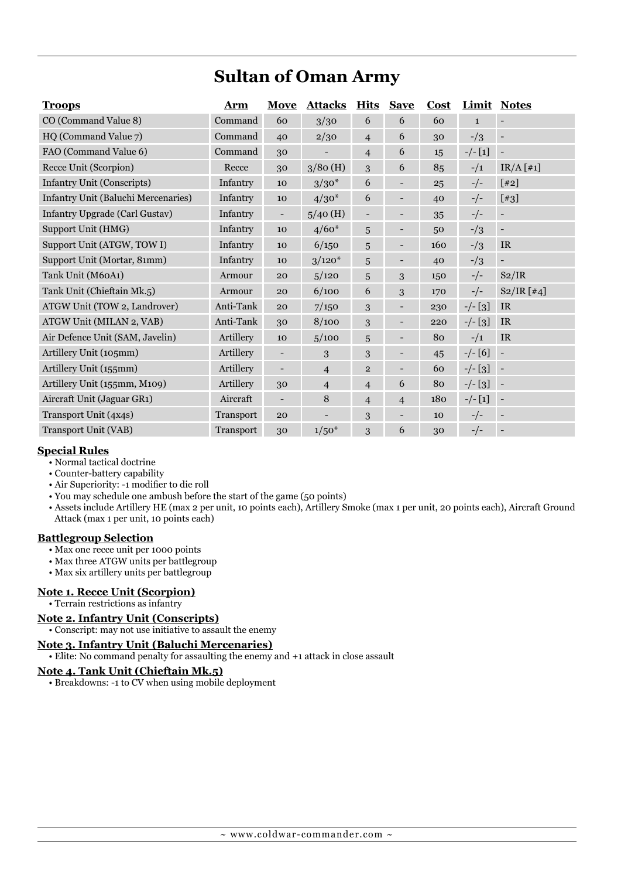# **Sultan of Oman Army**

| <b>Troops</b>                       | Arm       | Move                     | <b>Attacks</b> | <b>Hits</b>              | <b>Save</b>              | Cost |               | <b>Limit Notes</b>       |
|-------------------------------------|-----------|--------------------------|----------------|--------------------------|--------------------------|------|---------------|--------------------------|
| CO (Command Value 8)                | Command   | 60                       | 3/30           | 6                        | 6                        | 60   | $\mathbf{1}$  |                          |
| HQ (Command Value 7)                | Command   | 40                       | 2/30           | $\overline{4}$           | 6                        | 30   | $-1/3$        |                          |
| FAO (Command Value 6)               | Command   | 30                       |                | $\overline{4}$           | 6                        | 15   | $-/- [1]$     |                          |
| Recce Unit (Scorpion)               | Recce     | 30                       | $3/80$ (H)     | 3                        | 6                        | 85   | $-1/1$        | IR/A [H1]                |
| <b>Infantry Unit (Conscripts)</b>   | Infantry  | 10                       | $3/30*$        | 6                        |                          | 25   | $-/-$         | $[42]$                   |
| Infantry Unit (Baluchi Mercenaries) | Infantry  | 10                       | $4/30*$        | 6                        |                          | 40   | $-/-$         | $[43]$                   |
| Infantry Upgrade (Carl Gustav)      | Infantry  | $\overline{\phantom{a}}$ | $5/40$ (H)     | $\overline{\phantom{0}}$ |                          | 35   | $-/-$         | $\qquad \qquad -$        |
| Support Unit (HMG)                  | Infantry  | 10                       | $4/60*$        | 5                        |                          | 50   | $\frac{-}{3}$ |                          |
| Support Unit (ATGW, TOW I)          | Infantry  | 10                       | 6/150          | 5                        | $\overline{a}$           | 160  | $-1/3$        | <b>IR</b>                |
| Support Unit (Mortar, 81mm)         | Infantry  | 10                       | $3/120*$       | 5                        |                          | 40   | $-1/3$        |                          |
| Tank Unit (M60A1)                   | Armour    | 20                       | 5/120          | 5                        | 3                        | 150  | $-/-$         | S2/IR                    |
| Tank Unit (Chieftain Mk.5)          | Armour    | 20                       | 6/100          | 6                        | 3                        | 170  | $-/-$         | S2/IR [ #4]              |
| ATGW Unit (TOW 2, Landrover)        | Anti-Tank | 20                       | 7/150          | 3                        |                          | 230  | $-/-$ [3]     | <b>IR</b>                |
| ATGW Unit (MILAN 2, VAB)            | Anti-Tank | 30                       | 8/100          | 3                        |                          | 220  | $-/-$ [3]     | <b>IR</b>                |
| Air Defence Unit (SAM, Javelin)     | Artillery | 10                       | 5/100          | 5                        |                          | 80   | $-1/1$        | <b>IR</b>                |
| Artillery Unit (105mm)              | Artillery |                          | 3              | 3                        | $\overline{a}$           | 45   | $-/- [6]$     |                          |
| Artillery Unit (155mm)              | Artillery |                          | $\overline{4}$ | $\overline{\mathbf{c}}$  | $\overline{a}$           | 60   | $-/-$ [3]     | $\overline{\phantom{a}}$ |
| Artillery Unit (155mm, M109)        | Artillery | 30                       | $\overline{4}$ | $\overline{4}$           | 6                        | 80   | $-/-$ [3]     |                          |
| Aircraft Unit (Jaguar GR1)          | Aircraft  | $\overline{\phantom{a}}$ | 8              | $\overline{4}$           | $\overline{4}$           | 180  | $-/- [1]$     | $\overline{\phantom{a}}$ |
| Transport Unit (4x4s)               | Transport | 20                       | -              | 3                        | $\overline{\phantom{0}}$ | 10   | $-/-$         | $\qquad \qquad -$        |
| Transport Unit (VAB)                | Transport | 30                       | $1/50*$        | 3                        | 6                        | 30   | $-/-$         |                          |

#### **Special Rules**

- Normal tactical doctrine
- Counter-battery capability
- Air Superiority: -1 modifier to die roll
- You may schedule one ambush before the start of the game (50 points)
- Assets include Artillery HE (max 2 per unit, 10 points each), Artillery Smoke (max 1 per unit, 20 points each), Aircraft Ground Attack (max 1 per unit, 10 points each)

#### **Battlegroup Selection**

- Max one recce unit per 1000 points
- Max three ATGW units per battlegroup
- Max six artillery units per battlegroup

#### **Note 1. Recce Unit (Scorpion)**

#### • Terrain restrictions as infantry

#### **Note 2. Infantry Unit (Conscripts)**

• Conscript: may not use initiative to assault the enemy

#### **Note 3. Infantry Unit (Baluchi Mercenaries)**

• Elite: No command penalty for assaulting the enemy and +1 attack in close assault

#### **Note 4. Tank Unit (Chieftain Mk.5)**

• Breakdowns: -1 to CV when using mobile deployment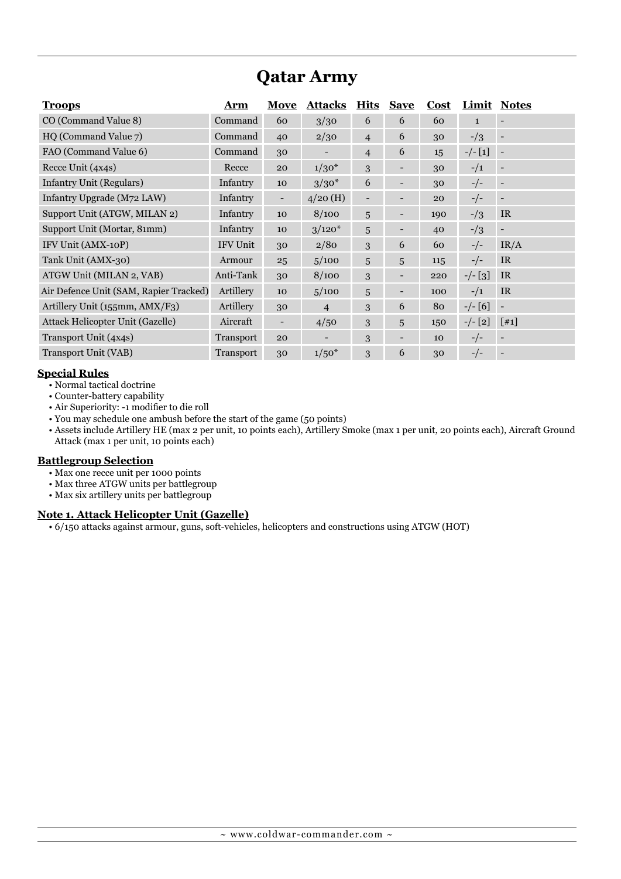# **Qatar Army**

| <b>Troops</b>                          | Arm             | Move | <b>Attacks</b> | <b>Hits</b>    | <b>Save</b>              | Cost |              | <b>Limit Notes</b> |
|----------------------------------------|-----------------|------|----------------|----------------|--------------------------|------|--------------|--------------------|
| CO (Command Value 8)                   | Command         | 60   | 3/30           | 6              | 6                        | 60   | $\mathbf{1}$ |                    |
| HQ (Command Value 7)                   | Command         | 40   | 2/30           | $\overline{4}$ | 6                        | 30   | $-1/3$       |                    |
| FAO (Command Value 6)                  | Command         | 30   |                | $\overline{4}$ | 6                        | 15   | $-/- [1]$    |                    |
| Recce Unit (4x4s)                      | Recce           | 20   | $1/30*$        | 3              |                          | 30   | $-1/1$       |                    |
| <b>Infantry Unit (Regulars)</b>        | Infantry        | 10   | $3/30*$        | 6              |                          | 30   | $-/-$        |                    |
| Infantry Upgrade (M72 LAW)             | Infantry        | -    | $4/20$ (H)     | -              | ۰                        | 20   | $-/-$        |                    |
| Support Unit (ATGW, MILAN 2)           | Infantry        | 10   | 8/100          | 5              |                          | 190  | $-1/3$       | IR                 |
| Support Unit (Mortar, 81mm)            | Infantry        | 10   | $3/120*$       | 5              |                          | 40   | $-1/3$       |                    |
| IFV Unit (AMX-10P)                     | <b>IFV Unit</b> | 30   | 2/80           | 3              | 6                        | 60   | $-/-$        | IR/A               |
| Tank Unit (AMX-30)                     | Armour          | 25   | 5/100          | 5              | 5                        | 115  | $-/-$        | IR                 |
| ATGW Unit (MILAN 2, VAB)               | Anti-Tank       | 30   | 8/100          | 3              | $\overline{\phantom{a}}$ | 220  | $-/-$ [3]    | IR.                |
| Air Defence Unit (SAM, Rapier Tracked) | Artillery       | 10   | 5/100          | 5              | $\overline{\phantom{a}}$ | 100  | $-1/1$       | IR                 |
| Artillery Unit (155mm, AMX/F3)         | Artillery       | 30   | $\overline{4}$ | 3              | 6                        | 80   | $-/- [6]$    |                    |
| Attack Helicopter Unit (Gazelle)       | Aircraft        |      | 4/50           | 3              | 5                        | 150  | $-/- [2]$    | [41]               |
| Transport Unit (4x4s)                  | Transport       | 20   |                | 3              | ۰                        | 10   | $-/-$        |                    |
| Transport Unit (VAB)                   | Transport       | 30   | $1/50*$        | 3              | 6                        | 30   | $-/-$        |                    |

#### **Special Rules**

- Normal tactical doctrine
- Counter-battery capability
- Air Superiority: -1 modifier to die roll
- You may schedule one ambush before the start of the game (50 points)
- Assets include Artillery HE (max 2 per unit, 10 points each), Artillery Smoke (max 1 per unit, 20 points each), Aircraft Ground Attack (max 1 per unit, 10 points each)

#### **Battlegroup Selection**

- Max one recce unit per 1000 points
- Max three ATGW units per battlegroup
- Max six artillery units per battlegroup

#### **Note 1. Attack Helicopter Unit (Gazelle)**

• 6/150 attacks against armour, guns, soft-vehicles, helicopters and constructions using ATGW (HOT)